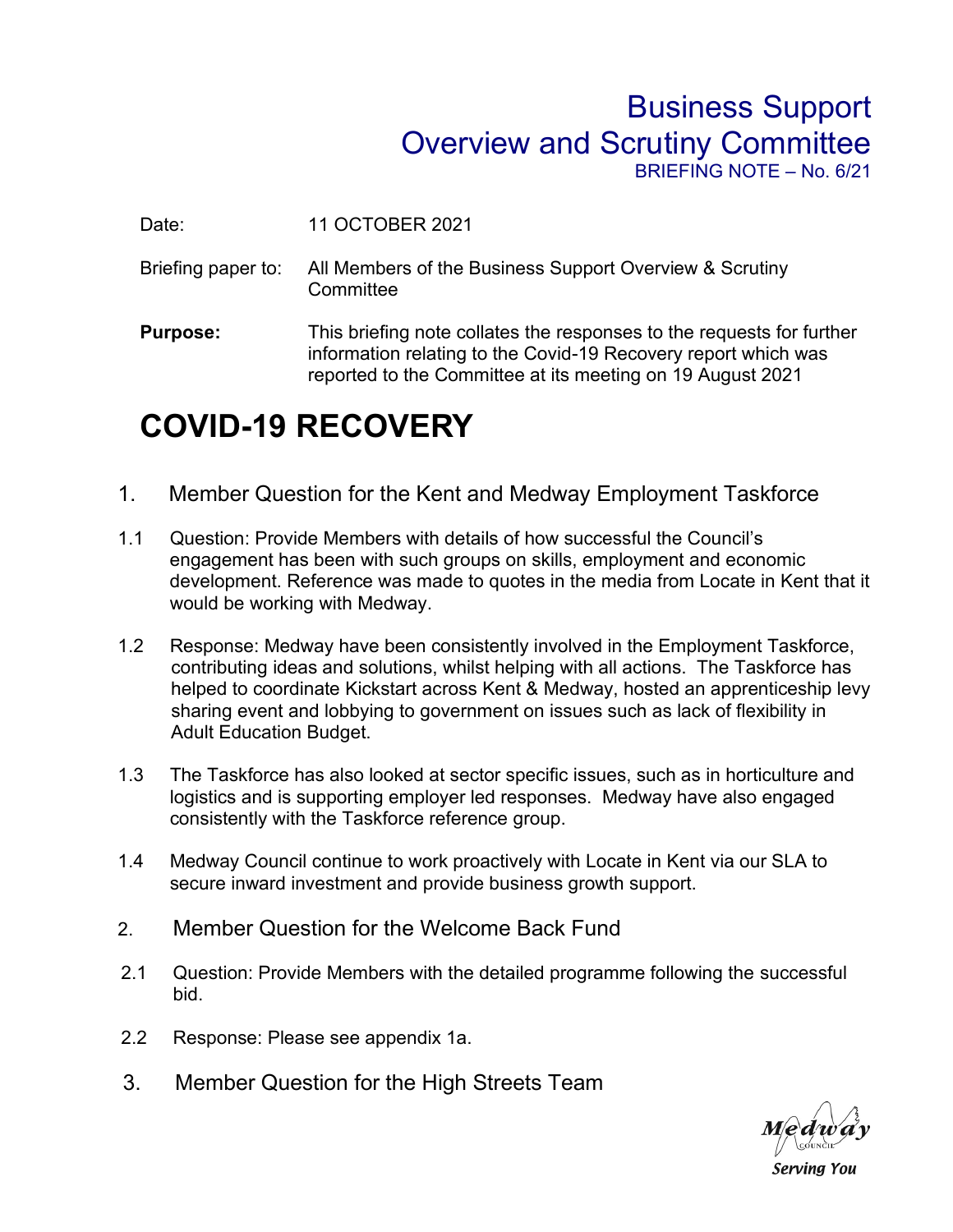## Business Support Overview and Scrutiny Committee BRIEFING NOTE – No. 6/21

Date: 11 OCTOBER 2021

- Briefing paper to: All Members of the Business Support Overview & Scrutiny **Committee**
- **Purpose:** This briefing note collates the responses to the requests for further information relating to the Covid-19 Recovery report which was reported to the Committee at its meeting on 19 August 2021

## **COVID-19 RECOVERY**

- 1. Member Question for the Kent and Medway Employment Taskforce
- 1.1 Question: Provide Members with details of how successful the Council's engagement has been with such groups on skills, employment and economic development. Reference was made to quotes in the media from Locate in Kent that it would be working with Medway.
- 1.2 Response: Medway have been consistently involved in the Employment Taskforce, contributing ideas and solutions, whilst helping with all actions. The Taskforce has helped to coordinate Kickstart across Kent & Medway, hosted an apprenticeship levy sharing event and lobbying to government on issues such as lack of flexibility in Adult Education Budget.
- 1.3 The Taskforce has also looked at sector specific issues, such as in horticulture and logistics and is supporting employer led responses. Medway have also engaged consistently with the Taskforce reference group.
- 1.4 Medway Council continue to work proactively with Locate in Kent via our SLA to secure inward investment and provide business growth support.
- 2. Member Question for the Welcome Back Fund
- 2.1 Question: Provide Members with the detailed programme following the successful bid.
- 2.2 Response: Please see appendix 1a.
- 3. Member Question for the High Streets Team



**Serving You**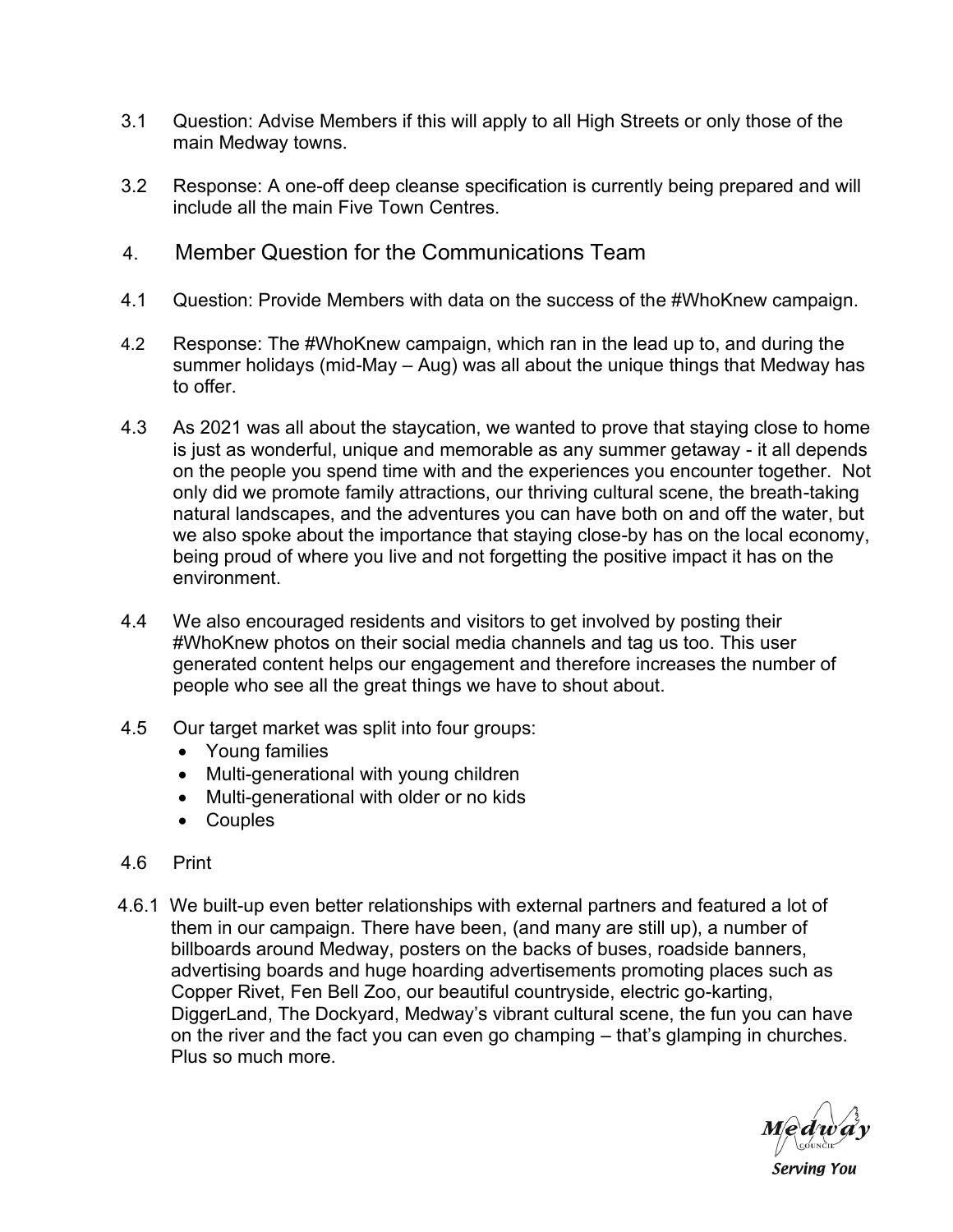- 3.1 Question: Advise Members if this will apply to all High Streets or only those of the main Medway towns.
- 3.2 Response: A one-off deep cleanse specification is currently being prepared and will include all the main Five Town Centres.
- 4. Member Question for the Communications Team
- 4.1 Question: Provide Members with data on the success of the #WhoKnew campaign.
- 4.2 Response: The #WhoKnew campaign, which ran in the lead up to, and during the summer holidays (mid-May – Aug) was all about the unique things that Medway has to offer.
- 4.3 As 2021 was all about the staycation, we wanted to prove that staying close to home is just as wonderful, unique and memorable as any summer getaway - it all depends on the people you spend time with and the experiences you encounter together. Not only did we promote family attractions, our thriving cultural scene, the breath-taking natural landscapes, and the adventures you can have both on and off the water, but we also spoke about the importance that staying close-by has on the local economy, being proud of where you live and not forgetting the positive impact it has on the environment.
- 4.4 We also encouraged residents and visitors to get involved by posting their #WhoKnew photos on their social media channels and tag us too. This user generated content helps our engagement and therefore increases the number of people who see all the great things we have to shout about.
- 4.5 Our target market was split into four groups:
	- Young families
	- Multi-generational with young children
	- Multi-generational with older or no kids
	- Couples
- 4.6 Print
- 4.6.1 We built-up even better relationships with external partners and featured a lot of them in our campaign. There have been, (and many are still up), a number of billboards around Medway, posters on the backs of buses, roadside banners, advertising boards and huge hoarding advertisements promoting places such as Copper Rivet, Fen Bell Zoo, our beautiful countryside, electric go-karting, DiggerLand, The Dockyard, Medway's vibrant cultural scene, the fun you can have on the river and the fact you can even go champing – that's glamping in churches. Plus so much more.



**Serving You**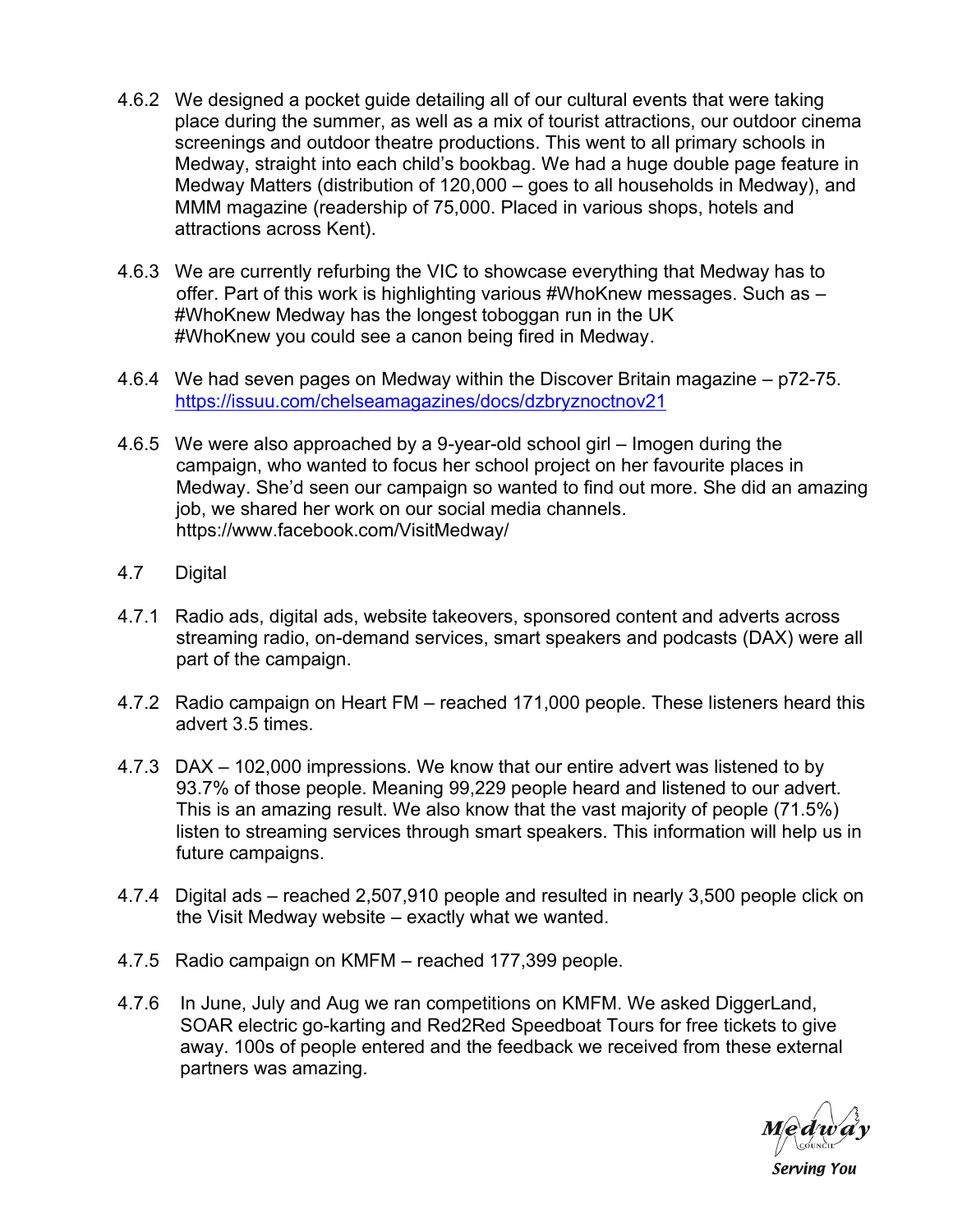- 4.6.2 We designed a pocket guide detailing all of our cultural events that were taking place during the summer, as well as a mix of tourist attractions, our outdoor cinema screenings and outdoor theatre productions. This went to all primary schools in Medway, straight into each child's bookbag. We had a huge double page feature in Medway Matters (distribution of 120,000 – goes to all households in Medway), and MMM magazine (readership of 75,000. Placed in various shops, hotels and attractions across Kent).
- 4.6.3 We are currently refurbing the VIC to showcase everything that Medway has to offer. Part of this work is highlighting various #WhoKnew messages. Such as – #WhoKnew Medway has the longest toboggan run in the UK #WhoKnew you could see a canon being fired in Medway.
- 4.6.4 We had seven pages on Medway within the Discover Britain magazine p72-75. <https://issuu.com/chelseamagazines/docs/dzbryznoctnov21>
- 4.6.5 We were also approached by a 9-year-old school girl Imogen during the campaign, who wanted to focus her school project on her favourite places in Medway. She'd seen our campaign so wanted to find out more. She did an amazing job, we shared her work on our social media channels. https://www.facebook.com/VisitMedway/
- 4.7 Digital
- 4.7.1 Radio ads, digital ads, website takeovers, sponsored content and adverts across streaming radio, on-demand services, smart speakers and podcasts (DAX) were all part of the campaign.
- 4.7.2 Radio campaign on Heart FM reached 171,000 people. These listeners heard this advert 3.5 times.
- 4.7.3 DAX 102,000 impressions. We know that our entire advert was listened to by 93.7% of those people. Meaning 99,229 people heard and listened to our advert. This is an amazing result. We also know that the vast majority of people (71.5%) listen to streaming services through smart speakers. This information will help us in future campaigns.
- 4.7.4 Digital ads reached 2,507,910 people and resulted in nearly 3,500 people click on the Visit Medway website – exactly what we wanted.
- 4.7.5 Radio campaign on KMFM reached 177,399 people.
- 4.7.6 In June, July and Aug we ran competitions on KMFM. We asked DiggerLand, SOAR electric go-karting and Red2Red Speedboat Tours for free tickets to give away. 100s of people entered and the feedback we received from these external partners was amazing.

**Serving You**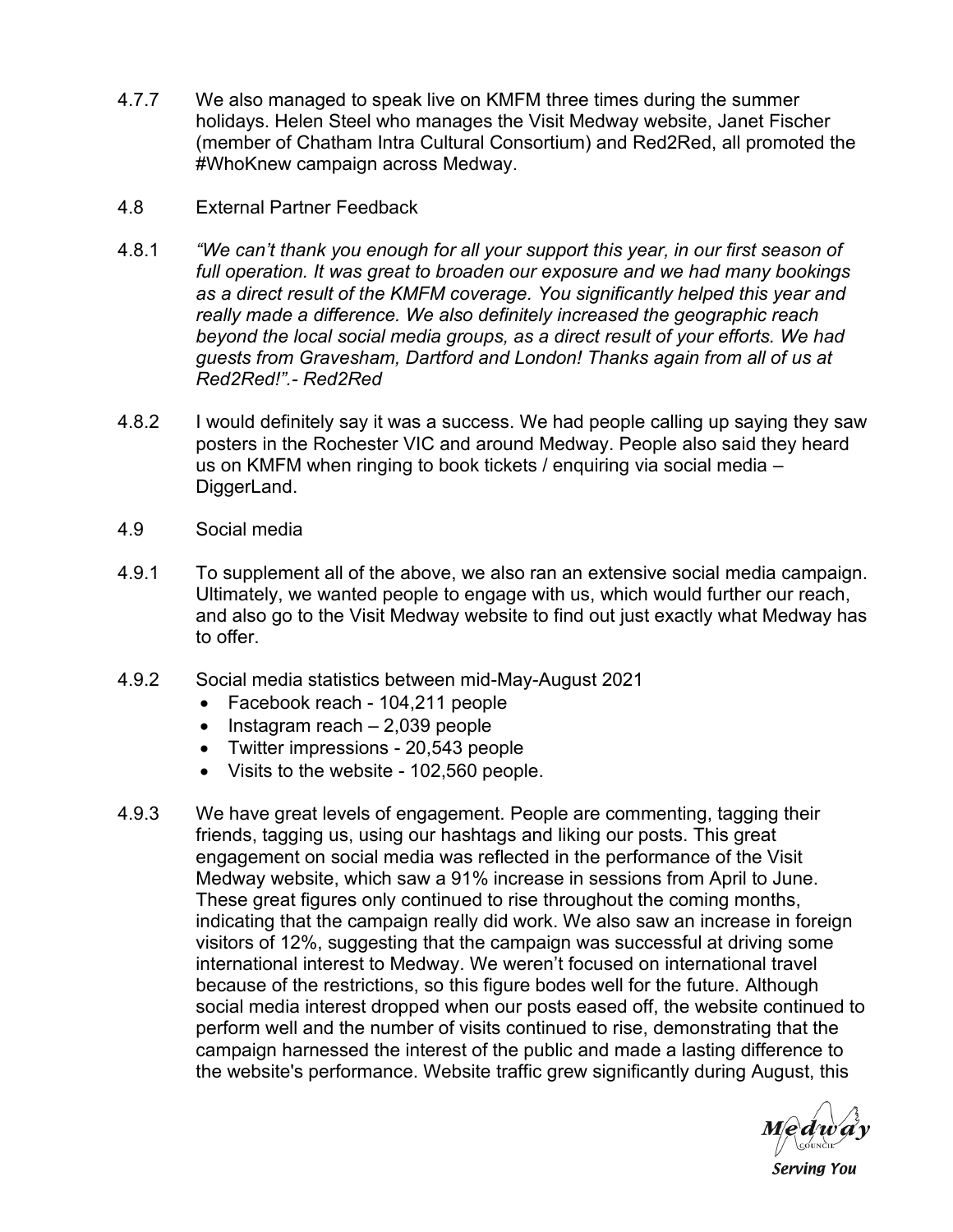- 4.7.7 We also managed to speak live on KMFM three times during the summer holidays. Helen Steel who manages the Visit Medway website, Janet Fischer (member of Chatham Intra Cultural Consortium) and Red2Red, all promoted the #WhoKnew campaign across Medway.
- 4.8 External Partner Feedback
- 4.8.1 *"We can't thank you enough for all your support this year, in our first season of full operation. It was great to broaden our exposure and we had many bookings as a direct result of the KMFM coverage. You significantly helped this year and really made a difference. We also definitely increased the geographic reach beyond the local social media groups, as a direct result of your efforts. We had guests from Gravesham, Dartford and London! Thanks again from all of us at Red2Red!".- Red2Red*
- 4.8.2 I would definitely say it was a success. We had people calling up saying they saw posters in the Rochester VIC and around Medway. People also said they heard us on KMFM when ringing to book tickets / enquiring via social media – DiggerLand.
- 4.9 Social media
- 4.9.1 To supplement all of the above, we also ran an extensive social media campaign. Ultimately, we wanted people to engage with us, which would further our reach, and also go to the Visit Medway website to find out just exactly what Medway has to offer.
- 4.9.2 Social media statistics between mid-May-August 2021
	- Facebook reach 104,211 people
	- Instagram reach 2,039 people
	- Twitter impressions 20,543 people
	- Visits to the website 102,560 people.
- 4.9.3 We have great levels of engagement. People are commenting, tagging their friends, tagging us, using our hashtags and liking our posts. This great engagement on social media was reflected in the performance of the Visit Medway website, which saw a 91% increase in sessions from April to June. These great figures only continued to rise throughout the coming months, indicating that the campaign really did work. We also saw an increase in foreign visitors of 12%, suggesting that the campaign was successful at driving some international interest to Medway. We weren't focused on international travel because of the restrictions, so this figure bodes well for the future. Although social media interest dropped when our posts eased off, the website continued to perform well and the number of visits continued to rise, demonstrating that the campaign harnessed the interest of the public and made a lasting difference to the website's performance. Website traffic grew significantly during August, this

Medway

**Serving You**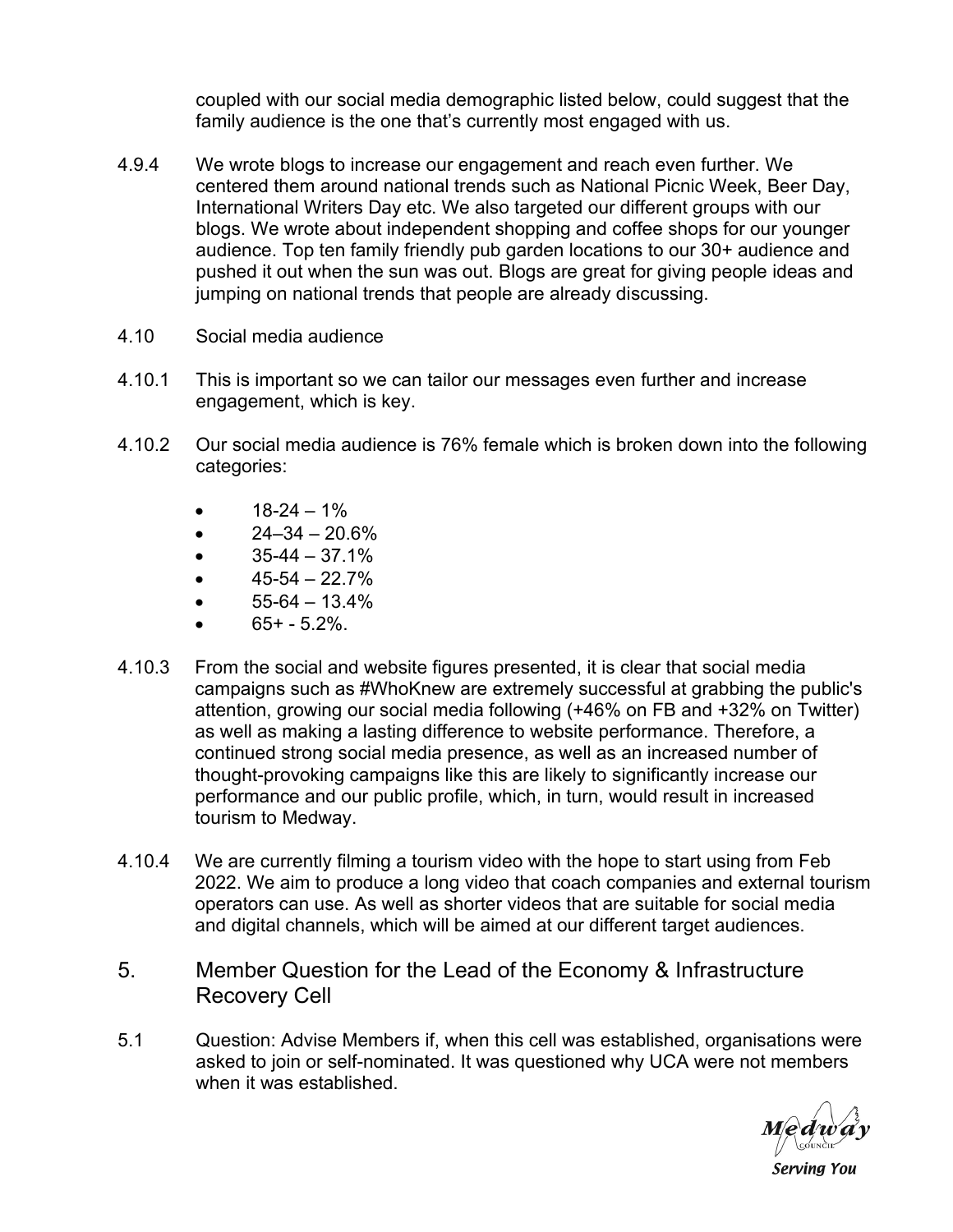coupled with our social media demographic listed below, could suggest that the family audience is the one that's currently most engaged with us.

- 4.9.4 We wrote blogs to increase our engagement and reach even further. We centered them around national trends such as National Picnic Week, Beer Day, International Writers Day etc. We also targeted our different groups with our blogs. We wrote about independent shopping and coffee shops for our younger audience. Top ten family friendly pub garden locations to our 30+ audience and pushed it out when the sun was out. Blogs are great for giving people ideas and jumping on national trends that people are already discussing.
- 4.10 Social media audience
- 4.10.1 This is important so we can tailor our messages even further and increase engagement, which is key.
- 4.10.2 Our social media audience is 76% female which is broken down into the following categories:
	- $18-24-1%$
	- $\bullet$  24–34 20.6%
	- $\bullet$  35-44 37.1%
	- $\bullet$  45-54 22.7%
	- $55-64-13.4%$
	- $65 + -5.2%$ .
- 4.10.3 From the social and website figures presented, it is clear that social media campaigns such as #WhoKnew are extremely successful at grabbing the public's attention, growing our social media following (+46% on FB and +32% on Twitter) as well as making a lasting difference to website performance. Therefore, a continued strong social media presence, as well as an increased number of thought-provoking campaigns like this are likely to significantly increase our performance and our public profile, which, in turn, would result in increased tourism to Medway.
- 4.10.4 We are currently filming a tourism video with the hope to start using from Feb 2022. We aim to produce a long video that coach companies and external tourism operators can use. As well as shorter videos that are suitable for social media and digital channels, which will be aimed at our different target audiences.
- 5. Member Question for the Lead of the Economy & Infrastructure Recovery Cell
- 5.1 Question: Advise Members if, when this cell was established, organisations were asked to join or self-nominated. It was questioned why UCA were not members when it was established.

Medway

**Serving You**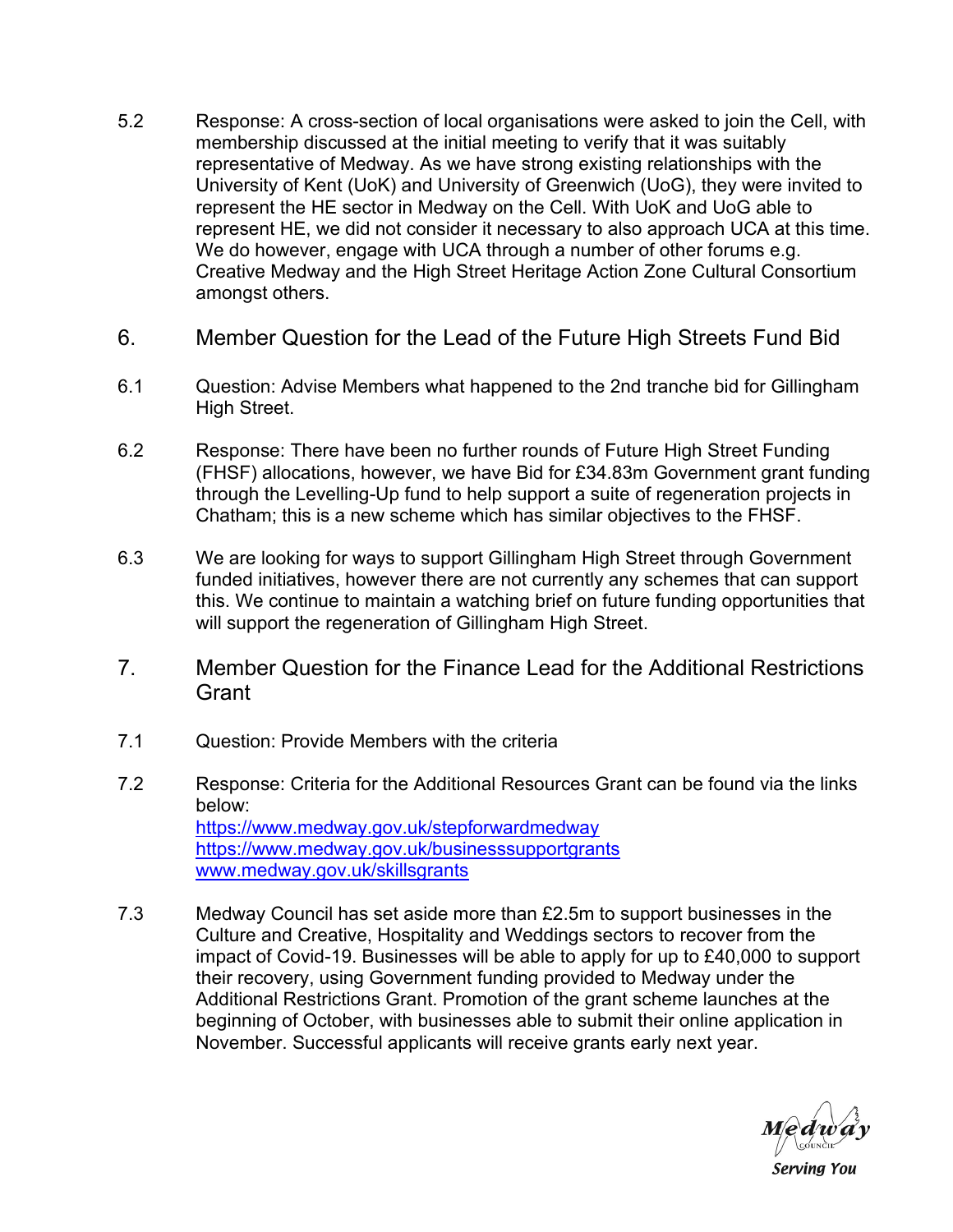- 5.2 Response: A cross-section of local organisations were asked to join the Cell, with membership discussed at the initial meeting to verify that it was suitably representative of Medway. As we have strong existing relationships with the University of Kent (UoK) and University of Greenwich (UoG), they were invited to represent the HE sector in Medway on the Cell. With UoK and UoG able to represent HE, we did not consider it necessary to also approach UCA at this time. We do however, engage with UCA through a number of other forums e.g. Creative Medway and the High Street Heritage Action Zone Cultural Consortium amongst others.
- 6. Member Question for the Lead of the Future High Streets Fund Bid
- 6.1 Question: Advise Members what happened to the 2nd tranche bid for Gillingham High Street.
- 6.2 Response: There have been no further rounds of Future High Street Funding (FHSF) allocations, however, we have Bid for £34.83m Government grant funding through the Levelling-Up fund to help support a suite of regeneration projects in Chatham; this is a new scheme which has similar objectives to the FHSF.
- 6.3 We are looking for ways to support Gillingham High Street through Government funded initiatives, however there are not currently any schemes that can support this. We continue to maintain a watching brief on future funding opportunities that will support the regeneration of Gillingham High Street.
- 7. Member Question for the Finance Lead for the Additional Restrictions **Grant**
- 7.1 Question: Provide Members with the criteria
- 7.2 Response: Criteria for the Additional Resources Grant can be found via the links below: <https://www.medway.gov.uk/stepforwardmedway> <https://www.medway.gov.uk/businesssupportgrants> [www.medway.gov.uk/skillsgrants](http://www.medway.gov.uk/skillsgrants)
- 7.3 Medway Council has set aside more than £2.5m to support businesses in the Culture and Creative, Hospitality and Weddings sectors to recover from the impact of Covid-19. Businesses will be able to apply for up to £40,000 to support their recovery, using Government funding provided to Medway under the Additional Restrictions Grant. Promotion of the grant scheme launches at the beginning of October, with businesses able to submit their online application in November. Successful applicants will receive grants early next year.

**Serving You**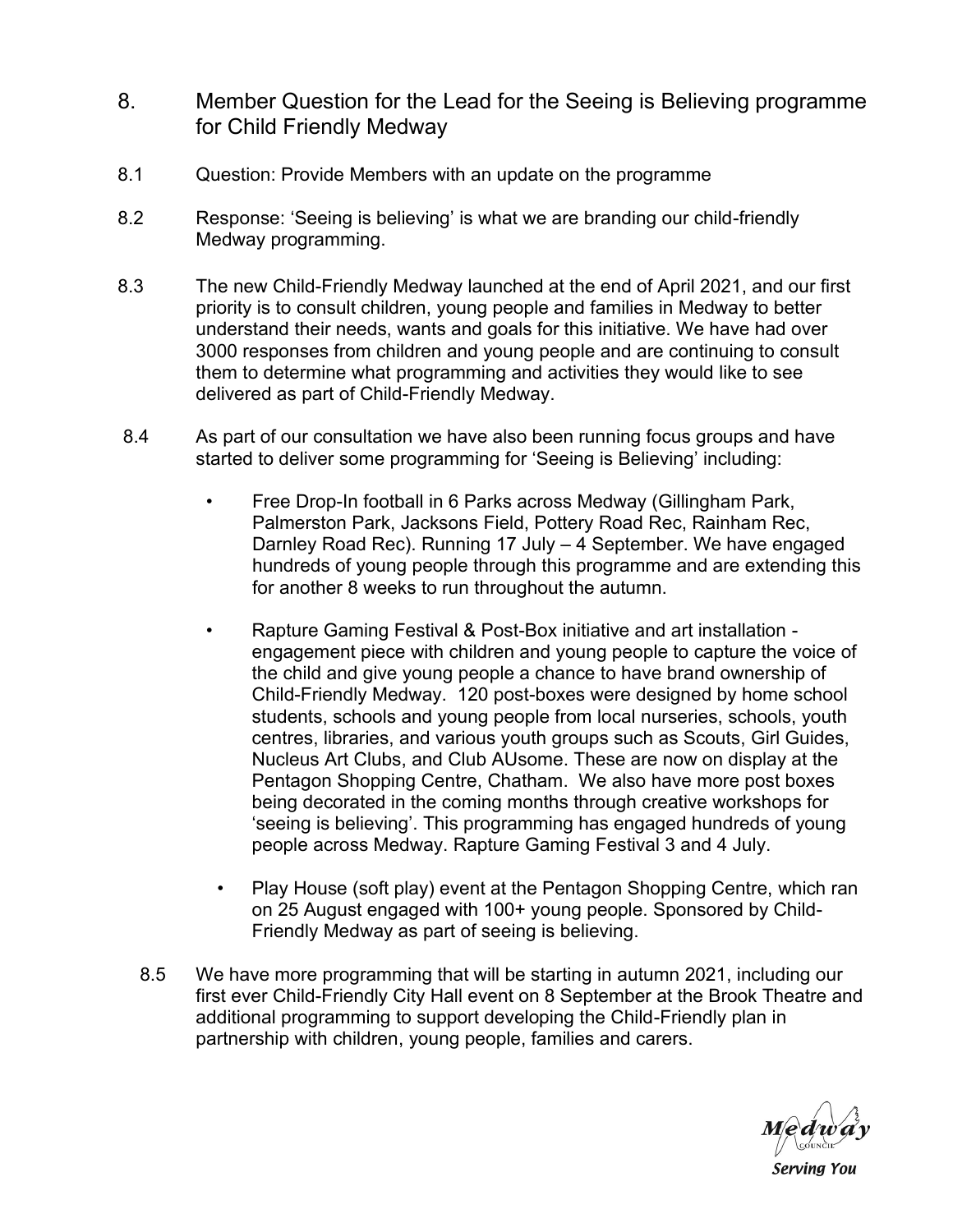- 8. Member Question for the Lead for the Seeing is Believing programme for Child Friendly Medway
- 8.1 Question: Provide Members with an update on the programme
- 8.2 Response: 'Seeing is believing' is what we are branding our child-friendly Medway programming.
- 8.3 The new Child-Friendly Medway launched at the end of April 2021, and our first priority is to consult children, young people and families in Medway to better understand their needs, wants and goals for this initiative. We have had over 3000 responses from children and young people and are continuing to consult them to determine what programming and activities they would like to see delivered as part of Child-Friendly Medway.
- 8.4 As part of our consultation we have also been running focus groups and have started to deliver some programming for 'Seeing is Believing' including:
	- Free Drop-In football in 6 Parks across Medway (Gillingham Park, Palmerston Park, Jacksons Field, Pottery Road Rec, Rainham Rec, Darnley Road Rec). Running 17 July – 4 September. We have engaged hundreds of young people through this programme and are extending this for another 8 weeks to run throughout the autumn.
	- Rapture Gaming Festival & Post-Box initiative and art installation engagement piece with children and young people to capture the voice of the child and give young people a chance to have brand ownership of Child-Friendly Medway. 120 post-boxes were designed by home school students, schools and young people from local nurseries, schools, youth centres, libraries, and various youth groups such as Scouts, Girl Guides, Nucleus Art Clubs, and Club AUsome. These are now on display at the Pentagon Shopping Centre, Chatham. We also have more post boxes being decorated in the coming months through creative workshops for 'seeing is believing'. This programming has engaged hundreds of young people across Medway. Rapture Gaming Festival 3 and 4 July.
		- Play House (soft play) event at the Pentagon Shopping Centre, which ran on 25 August engaged with 100+ young people. Sponsored by Child-Friendly Medway as part of seeing is believing.
	- 8.5 We have more programming that will be starting in autumn 2021, including our first ever Child-Friendly City Hall event on 8 September at the Brook Theatre and additional programming to support developing the Child-Friendly plan in partnership with children, young people, families and carers.



**Serving You**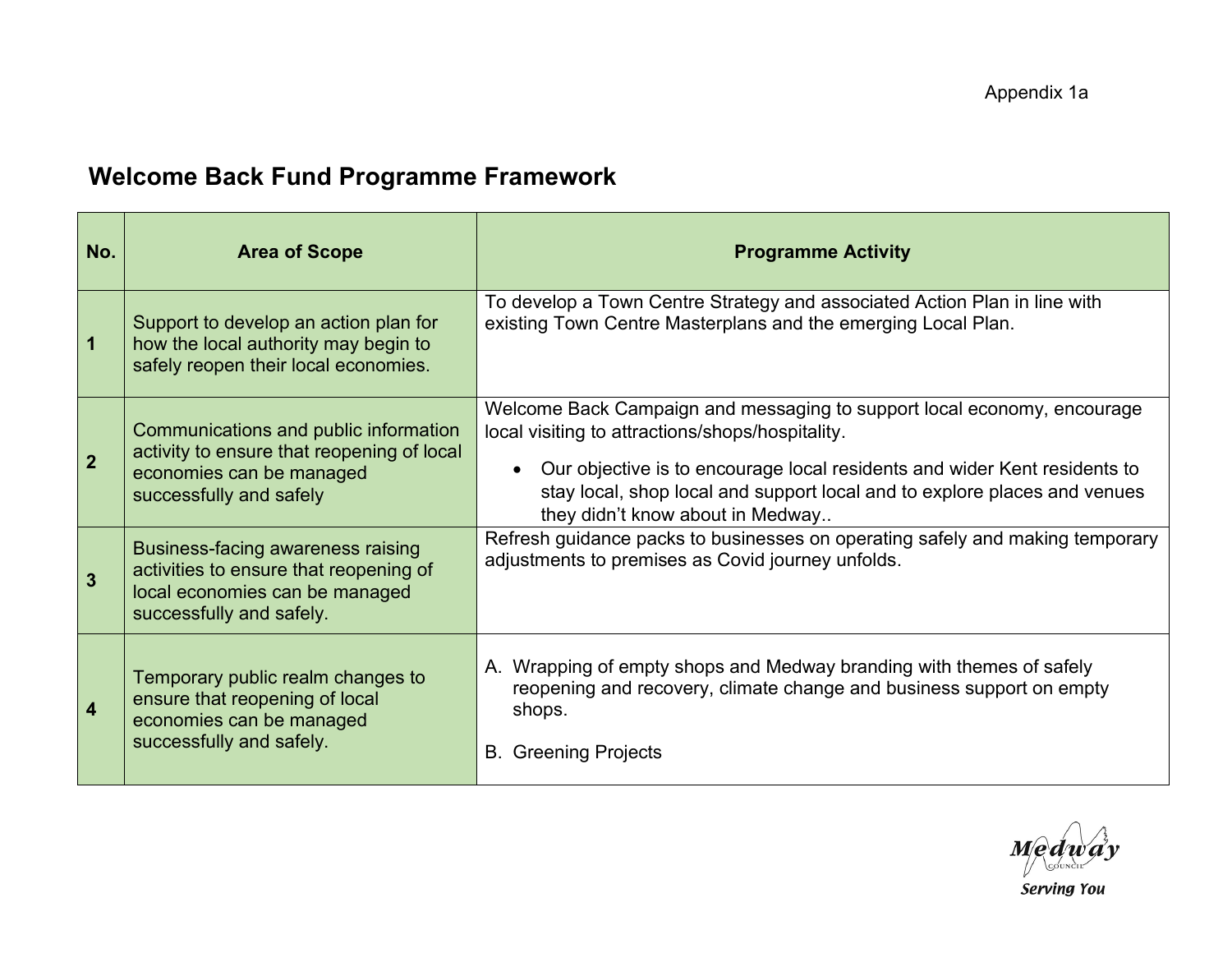## **Welcome Back Fund Programme Framework**

| No.                     | <b>Area of Scope</b>                                                                                                                       | <b>Programme Activity</b>                                                                                                                                                                                                                                                                                                 |
|-------------------------|--------------------------------------------------------------------------------------------------------------------------------------------|---------------------------------------------------------------------------------------------------------------------------------------------------------------------------------------------------------------------------------------------------------------------------------------------------------------------------|
| 1                       | Support to develop an action plan for<br>how the local authority may begin to<br>safely reopen their local economies.                      | To develop a Town Centre Strategy and associated Action Plan in line with<br>existing Town Centre Masterplans and the emerging Local Plan.                                                                                                                                                                                |
| 2 <sup>2</sup>          | Communications and public information<br>activity to ensure that reopening of local<br>economies can be managed<br>successfully and safely | Welcome Back Campaign and messaging to support local economy, encourage<br>local visiting to attractions/shops/hospitality.<br>Our objective is to encourage local residents and wider Kent residents to<br>stay local, shop local and support local and to explore places and venues<br>they didn't know about in Medway |
| $\overline{3}$          | Business-facing awareness raising<br>activities to ensure that reopening of<br>local economies can be managed<br>successfully and safely.  | Refresh guidance packs to businesses on operating safely and making temporary<br>adjustments to premises as Covid journey unfolds.                                                                                                                                                                                        |
| $\overline{\mathbf{4}}$ | Temporary public realm changes to<br>ensure that reopening of local<br>economies can be managed<br>successfully and safely.                | A. Wrapping of empty shops and Medway branding with themes of safely<br>reopening and recovery, climate change and business support on empty<br>shops.<br><b>B.</b> Greening Projects                                                                                                                                     |